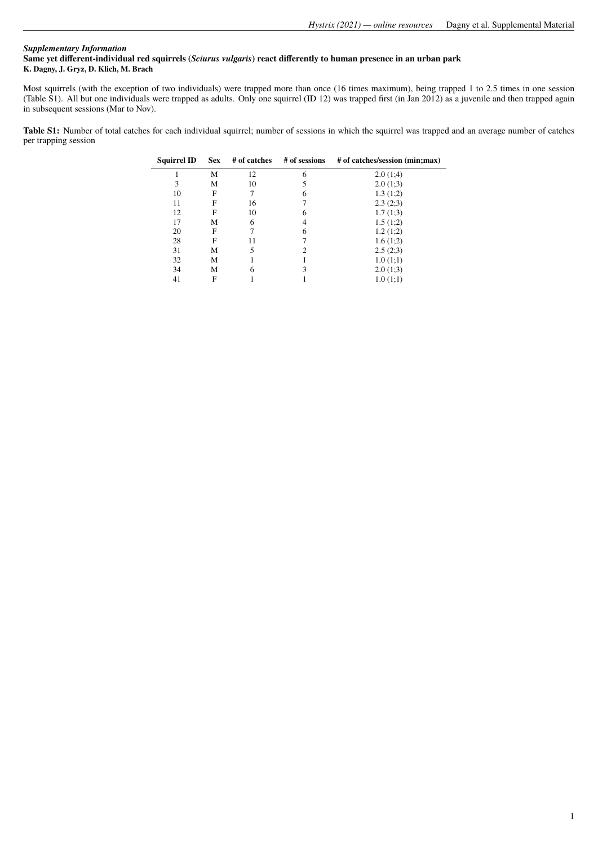## *Supplementary Information* **Same yet different-individual red squirrels (***Sciurus vulgaris***) react differently to human presence in an urban park K. Dagny, J. Gryz, D. Klich, M. Brach**

Most squirrels (with the exception of two individuals) were trapped more than once (16 times maximum), being trapped 1 to 2.5 times in one session (Table S1). All but one individuals were trapped as adults. Only one squirrel (ID 12) was trapped first (in Jan 2012) as a juvenile and then trapped again in subsequent sessions (Mar to Nov).

**Table S1:** Number of total catches for each individual squirrel; number of sessions in which the squirrel was trapped and an average number of catches per trapping session

| <b>Squirrel ID</b> | <b>Sex</b> | # of catches | # of sessions | # of catches/session (min;max) |
|--------------------|------------|--------------|---------------|--------------------------------|
|                    | М          | 12           | 6             | 2.0(1;4)                       |
| 3                  | М          | 10           |               | 2.0(1;3)                       |
| 10                 | F          |              | 6             | 1.3(1;2)                       |
| 11                 | F          | 16           |               | 2.3(2;3)                       |
| 12                 | F          | 10           | 6             | 1.7(1;3)                       |
| 17                 | М          | 6            |               | 1.5(1;2)                       |
| 20                 | F          |              | 6             | 1.2(1;2)                       |
| 28                 | F          | 11           |               | 1.6(1;2)                       |
| 31                 | М          |              |               | 2.5(2;3)                       |
| 32                 | М          |              |               | 1.0(1;1)                       |
| 34                 | М          | 6            |               | 2.0(1;3)                       |
| 41                 | F          |              |               | 1.0(1;1)                       |